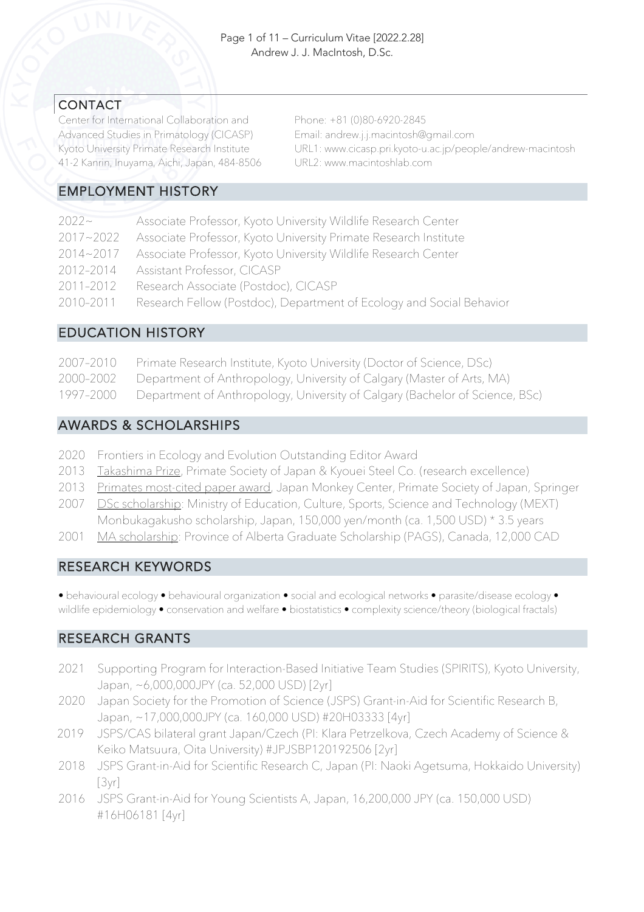### CONTACT

Center for International Collaboration and Advanced Studies in Primatology (CICASP) Kyoto University Primate Research Institute 41-2 Kanrin, Inuyama, Aichi, Japan, 484-8506 Phone: +81 (0)80-6920-2845 Email: andrew.j.j.macintosh@gmail.com URL1: www.cicasp.pri.kyoto-u.ac.jp/people/andrew-macintosh URL2: www.macintoshlab.com

## EMPLOYMENT HISTORY

| $2022 -$      | Associate Professor, Kyoto University Wildlife Research Center       |
|---------------|----------------------------------------------------------------------|
| $2017 - 2022$ | Associate Professor, Kyoto University Primate Research Institute     |
| $2014 - 2017$ | Associate Professor, Kyoto University Wildlife Research Center       |
| 2012-2014     | <b>Assistant Professor, CICASP</b>                                   |
| 2011-2012     | Research Associate (Postdoc), CICASP                                 |
| 2010-2011     | Research Fellow (Postdoc), Department of Ecology and Social Behavior |
|               |                                                                      |

## EDUCATION HISTORY

| 2007-2010 | Primate Research Institute, Kyoto University (Doctor of Science, DSc)                  |
|-----------|----------------------------------------------------------------------------------------|
|           | 2000-2002 Department of Anthropology, University of Calgary (Master of Arts, MA)       |
|           | 1997-2000 Department of Anthropology, University of Calgary (Bachelor of Science, BSc) |

### AWARDS & SCHOLARSHIPS

- 2020 Frontiers in Ecology and Evolution Outstanding Editor Award
- 2013 Takashima Prize, Primate Society of Japan & Kyouei Steel Co. (research excellence)
- 2013 Primates most-cited paper award, Japan Monkey Center, Primate Society of Japan, Springer
- 2007 DSc scholarship: Ministry of Education, Culture, Sports, Science and Technology (MEXT) Monbukagakusho scholarship, Japan, 150,000 yen/month (ca. 1,500 USD) \* 3.5 years
- 2001 MA scholarship: Province of Alberta Graduate Scholarship (PAGS), Canada, 12,000 CAD

## RESEARCH KEYWORDS

• behavioural ecology • behavioural organization • social and ecological networks • parasite/disease ecology • wildlife epidemiology • conservation and welfare • biostatistics • complexity science/theory (biological fractals)

## RESEARCH GRANTS

- 2021 Supporting Program for Interaction-Based Initiative Team Studies (SPIRITS), Kyoto University, Japan, ~6,000,000JPY (ca. 52,000 USD) [2yr]
- 2020 Japan Society for the Promotion of Science (JSPS) Grant-in-Aid for Scientific Research B, Japan, ~17,000,000JPY (ca. 160,000 USD) #20H03333 [4yr]
- 2019 JSPS/CAS bilateral grant Japan/Czech (PI: Klara Petrzelkova, Czech Academy of Science & Keiko Matsuura, Oita University) #JPJSBP120192506 [2yr]
- 2018 JSPS Grant-in-Aid for Scientific Research C, Japan (PI: Naoki Agetsuma, Hokkaido University) [3yr]
- 2016 JSPS Grant-in-Aid for Young Scientists A, Japan, 16,200,000 JPY (ca. 150,000 USD) #16H06181 [4yr]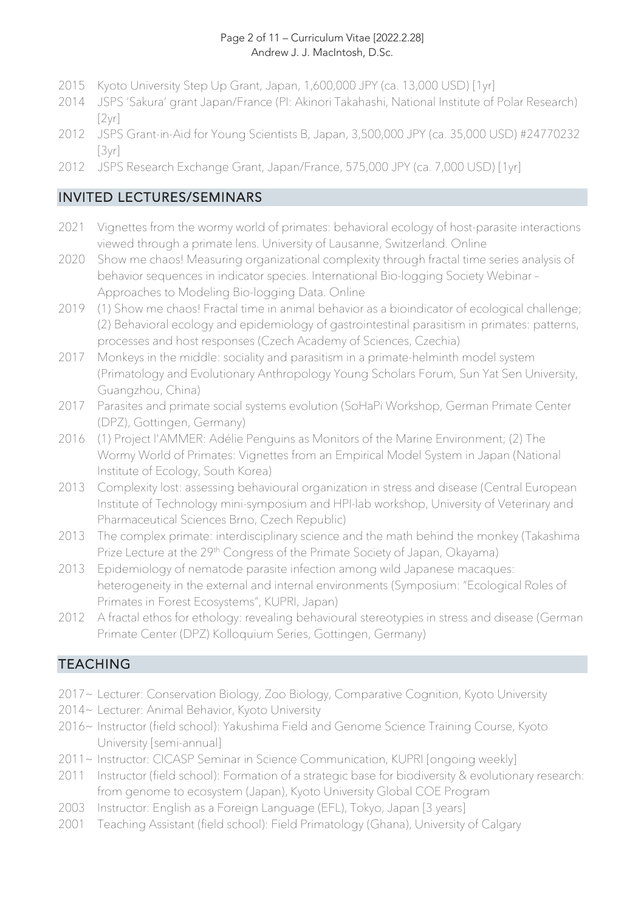#### Page 2 of 11 – Curriculum Vitae [2022.2.28] Andrew J. J. MacIntosh, D.Sc.

- 2015 Kyoto University Step Up Grant, Japan, 1,600,000 JPY (ca. 13,000 USD) [1yr]
- 2014 JSPS 'Sakura' grant Japan/France (PI: Akinori Takahashi, National Institute of Polar Research)  $[2yr]$
- 2012 JSPS Grant-in-Aid for Young Scientists B, Japan, 3,500,000 JPY (ca. 35,000 USD) #24770232 [3yr]
- 2012 JSPS Research Exchange Grant, Japan/France, 575,000 JPY (ca. 7,000 USD) [1yr]

## INVITED LECTURES/SEMINARS

- 2021 Vignettes from the wormy world of primates: behavioral ecology of host-parasite interactions viewed through a primate lens. University of Lausanne, Switzerland. Online
- 2020 Show me chaos! Measuring organizational complexity through fractal time series analysis of behavior sequences in indicator species. International Bio-logging Society Webinar – Approaches to Modeling Bio-logging Data. Online
- 2019 (1) Show me chaos! Fractal time in animal behavior as a bioindicator of ecological challenge; (2) Behavioral ecology and epidemiology of gastrointestinal parasitism in primates: patterns, processes and host responses (Czech Academy of Sciences, Czechia)
- 2017 Monkeys in the middle: sociality and parasitism in a primate-helminth model system (Primatology and Evolutionary Anthropology Young Scholars Forum, Sun Yat Sen University, Guangzhou, China)
- 2017 Parasites and primate social systems evolution (SoHaPi Workshop, German Primate Center (DPZ), Gottingen, Germany)
- 2016 (1) Project l'AMMER: Adélie Penguins as Monitors of the Marine Environment; (2) The Wormy World of Primates: Vignettes from an Empirical Model System in Japan (National Institute of Ecology, South Korea)
- 2013 Complexity lost: assessing behavioural organization in stress and disease (Central European Institute of Technology mini-symposium and HPI-lab workshop, University of Veterinary and Pharmaceutical Sciences Brno, Czech Republic)
- 2013 The complex primate: interdisciplinary science and the math behind the monkey (Takashima Prize Lecture at the 29<sup>th</sup> Congress of the Primate Society of Japan, Okayama)
- 2013 Epidemiology of nematode parasite infection among wild Japanese macaques: heterogeneity in the external and internal environments (Symposium: "Ecological Roles of Primates in Forest Ecosystems", KUPRI, Japan)
- 2012 A fractal ethos for ethology: revealing behavioural stereotypies in stress and disease (German Primate Center (DPZ) Kolloquium Series, Gottingen, Germany)

# TEACHING

- 2017~ Lecturer: Conservation Biology, Zoo Biology, Comparative Cognition, Kyoto University
- 2014~ Lecturer: Animal Behavior, Kyoto University
- 2016~ Instructor (field school): Yakushima Field and Genome Science Training Course, Kyoto University [semi-annual]
- 2011~ Instructor: CICASP Seminar in Science Communication, KUPRI [ongoing weekly]
- 2011 Instructor (field school): Formation of a strategic base for biodiversity & evolutionary research: from genome to ecosystem (Japan), Kyoto University Global COE Program
- 2003 Instructor: English as a Foreign Language (EFL), Tokyo, Japan [3 years]
- 2001 Teaching Assistant (field school): Field Primatology (Ghana), University of Calgary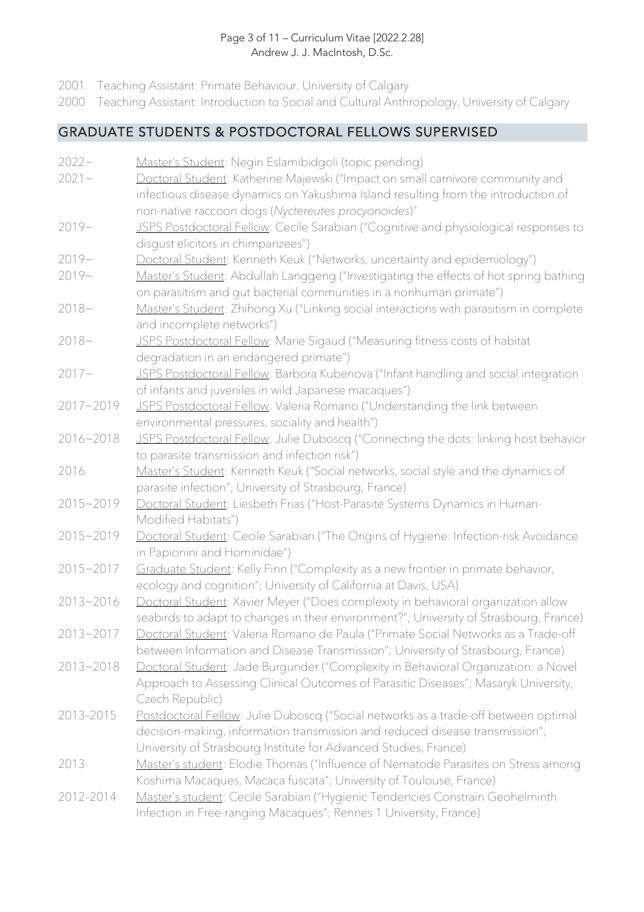#### Page 3 of 11 – Curriculum Vitae [2022.2.28] Andrew J. J. MacIntosh, D.Sc.

- 2001 Teaching Assistant: Primate Behaviour, University of Calgary
- 2000 Teaching Assistant: Introduction to Social and Cultural Anthropology, University of Calgary

### GRADUATE STUDENTS & POSTDOCTORAL FELLOWS SUPERVISED

- 2022~ Master's Student: Negin Eslamibidgoli (topic pending)
- 2021~ Doctoral Student: Katherine Majewski ("Impact on small carnivore community and infectious disease dynamics on Yakushima Island resulting from the introduction of non-native raccoon dogs (*Nyctereutes procyonoides*)"
- 2019~ JSPS Postdoctoral Fellow: Cecile Sarabian ("Cognitive and physiological responses to disgust elicitors in chimpanzees")
- 2019~ Doctoral Student: Kenneth Keuk ("Networks, uncertainty and epidemiology")
- 2019~ Master's Student: Abdullah Langgeng ("Investigating the effects of hot spring bathing on parasitism and gut bacterial communities in a nonhuman primate")
- 2018~ Master's Student: Zhihong Xu ("Linking social interactions with parasitism in complete and incomplete networks")
- 2018~ JSPS Postdoctoral Fellow: Marie Sigaud ("Measuring fitness costs of habitat degradation in an endangered primate")
- 2017~ JSPS Postdoctoral Fellow: Barbora Kubenova ("Infant handling and social integration of infants and juveniles in wild Japanese macaques")
- 2017~2019 JSPS Postdoctoral Fellow: Valeria Romano ("Understanding the link between environmental pressures, sociality and health")
- 2016~2018 JSPS Postdoctoral Fellow: Julie Duboscq ("Connecting the dots: linking host behavior to parasite transmission and infection risk")
- 2016 Master's Student: Kenneth Keuk ("Social networks, social style and the dynamics of parasite infection"; University of Strasbourg, France)
- 2015~2019 Doctoral Student: Liesbeth Frias ("Host-Parasite Systems Dynamics in Human-Modified Habitats")
- 2015~2019 Doctoral Student: Cecile Sarabian ("The Origins of Hygiene: Infection-risk Avoidance in Papionini and Hominidae")
- 2015~2017 Graduate Student: Kelly Finn ("Complexity as a new frontier in primate behavior, ecology and cognition"; University of California at Davis, USA)
- 2013~2016 Doctoral Student: Xavier Meyer ("Does complexity in behavioral organization allow seabirds to adapt to changes in their environment?"; University of Strasbourg, France)
- 2013~2017 Doctoral Student: Valeria Romano de Paula ("Primate Social Networks as a Trade-off between Information and Disease Transmission"; University of Strasbourg, France)
- 2013~2018 Doctoral Student: Jade Burgunder ("Complexity in Behavioral Organization: a Novel Approach to Assessing Clinical Outcomes of Parasitic Diseases"; Masaryk University, Czech Republic)
- 2013-2015 Postdoctoral Fellow: Julie Duboscq ("Social networks as a trade-off between optimal decision-making, information transmission and reduced disease transmission"; University of Strasbourg Institute for Advanced Studies, France)
- 2013 Master's student: Elodie Thomas ("Influence of Nematode Parasites on Stress among Koshima Macaques, Macaca fuscata"; University of Toulouse, France)
- 2012-2014 Master's student: Cecile Sarabian ("Hygienic Tendencies Constrain Geohelminth Infection in Free-ranging Macaques"; Rennes 1 University, France)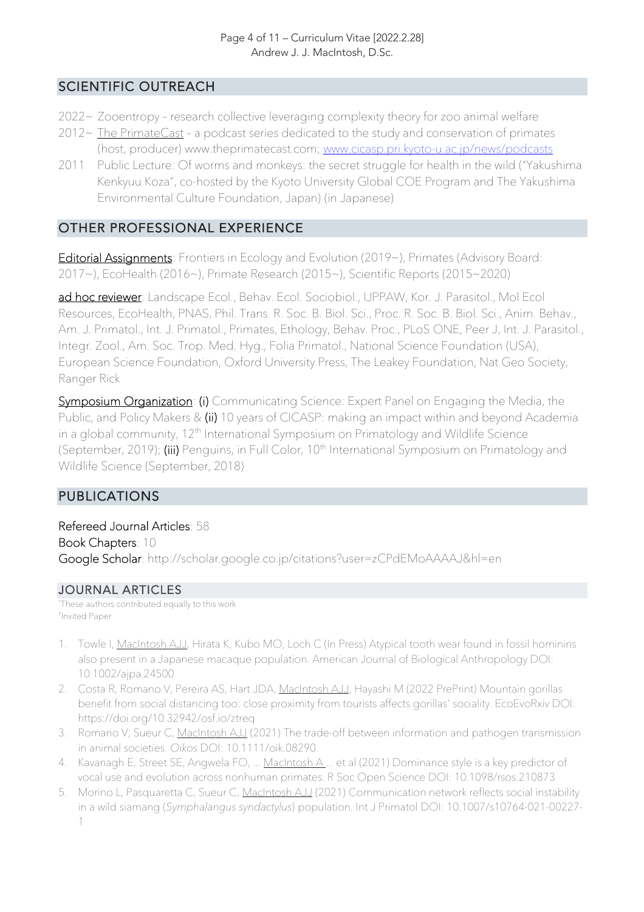### SCIENTIFIC OUTREACH

- 2022~ Zooentropy research collective leveraging complexity theory for zoo animal welfare
- $2012 \sim$  The PrimateCast a podcast series dedicated to the study and conservation of primates (host, producer) www.theprimatecast.com; www.cicasp.pri.kyoto-u.ac.jp/news/podcasts
- 2011 Public Lecture: Of worms and monkeys: the secret struggle for health in the wild ("Yakushima Kenkyuu Koza", co-hosted by the Kyoto University Global COE Program and The Yakushima Environmental Culture Foundation, Japan) (in Japanese)

### OTHER PROFESSIONAL EXPERIENCE

Editorial Assignments: Frontiers in Ecology and Evolution (2019~), Primates (Advisory Board: 2017~), EcoHealth (2016~), Primate Research (2015~), Scientific Reports (2015~2020)

ad hoc reviewer: Landscape Ecol., Behav. Ecol. Sociobiol., IJPPAW, Kor. J. Parasitol., Mol Ecol Resources, EcoHealth, PNAS, Phil. Trans. R. Soc. B. Biol. Sci., Proc. R. Soc. B. Biol. Sci., Anim. Behav., Am. J. Primatol., Int. J. Primatol., Primates, Ethology, Behav. Proc., PLoS ONE, Peer J, Int. J. Parasitol., Integr. Zool., Am. Soc. Trop. Med. Hyg., Folia Primatol., National Science Foundation (USA), European Science Foundation, Oxford University Press, The Leakey Foundation, Nat Geo Society, Ranger Rick

Symposium Organization: (i) Communicating Science: Expert Panel on Engaging the Media, the Public, and Policy Makers & (ii) 10 years of CICASP: making an impact within and beyond Academia in a global community, 12<sup>th</sup> International Symposium on Primatology and Wildlife Science (September, 2019); (iii) Penguins, in Full Color, 10<sup>th</sup> International Symposium on Primatology and Wildlife Science (September, 2018)

## PUBLICATIONS

Refereed Journal Articles: 58 Book Chapters: 10 Google Scholar: http://scholar.google.co.jp/citations?user=zCPdEMoAAAAJ&hl=en

### JOURNAL ARTICLES

\* These authors contributed equally to this work † Invited Paper

- 1. Towle I, MacIntosh AJJ, Hirata K, Kubo MO, Loch C (In Press) Atypical tooth wear found in fossil hominins also present in a Japanese macaque population. American Journal of Biological Anthropology DOI: 10.1002/ajpa.24500
- 2. Costa R, Romano V, Pereira AS, Hart JDA, MacIntosh AJJ, Hayashi M (2022 PrePrint) Mountain gorillas benefit from social distancing too: close proximity from tourists affects gorillas' sociality. EcoEvoRxiv DOI: https://doi.org/10.32942/osf.io/ztreq
- 3. Romano V, Sueur C, MacIntosh AJJ (2021) The trade-off between information and pathogen transmission in animal societies. *Oikos* DOI: 10.1111/oik.08290
- 4. Kavanagh E, Street SE, Angwela FO, ... MacIntosh A ... et al (2021) Dominance style is a key predictor of vocal use and evolution across nonhuman primates. R Soc Open Science DOI: 10.1098/rsos.210873
- 5. Morino L, Pasquaretta C, Sueur C, MacIntosh AJJ (2021) Communication network reflects social instability in a wild siamang (*Symphalangus syndactylus*) population. Int J Primatol DOI: 10.1007/s10764-021-00227- 1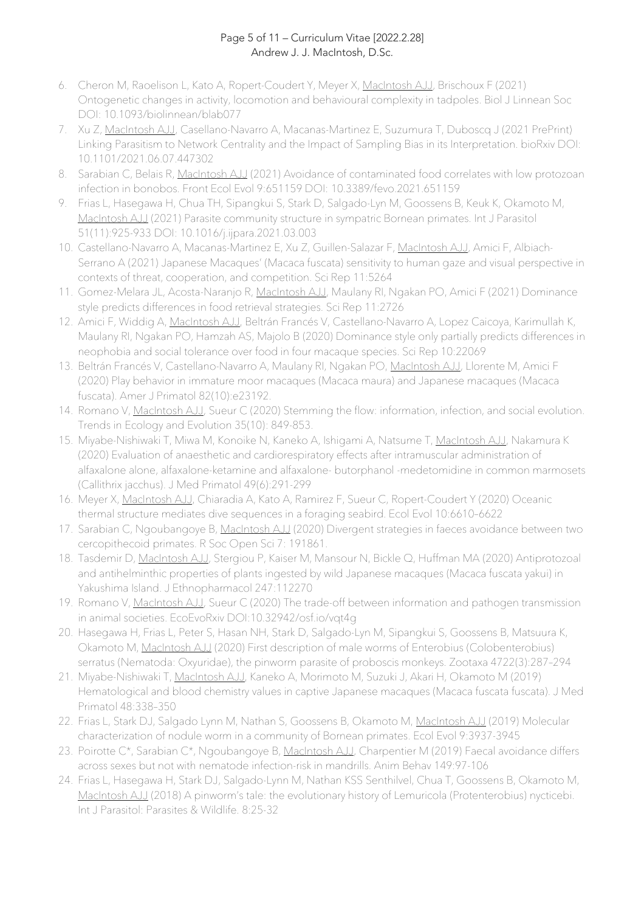#### Page 5 of 11 – Curriculum Vitae [2022.2.28] Andrew J. J. MacIntosh, D.Sc.

- 6. Cheron M, Raoelison L, Kato A, Ropert-Coudert Y, Meyer X, MacIntosh AJJ, Brischoux F (2021) Ontogenetic changes in activity, locomotion and behavioural complexity in tadpoles. Biol J Linnean Soc DOI: 10.1093/biolinnean/blab077
- 7. Xu Z, MacIntosh AJJ, Casellano-Navarro A, Macanas-Martinez E, Suzumura T, Duboscq J (2021 PrePrint) Linking Parasitism to Network Centrality and the Impact of Sampling Bias in its Interpretation. bioRxiv DOI: 10.1101/2021.06.07.447302
- 8. Sarabian C, Belais R, MacIntosh AJJ (2021) Avoidance of contaminated food correlates with low protozoan infection in bonobos. Front Ecol Evol 9:651159 DOI: 10.3389/fevo.2021.651159
- 9. Frias L, Hasegawa H, Chua TH, Sipangkui S, Stark D, Salgado-Lyn M, Goossens B, Keuk K, Okamoto M, MacIntosh AJJ (2021) Parasite community structure in sympatric Bornean primates. Int J Parasitol 51(11):925-933 DOI: 10.1016/j.ijpara.2021.03.003
- 10. Castellano-Navarro A, Macanas-Martinez E, Xu Z, Guillen-Salazar F, MacIntosh AJJ, Amici F, Albiach-Serrano A (2021) Japanese Macaques' (Macaca fuscata) sensitivity to human gaze and visual perspective in contexts of threat, cooperation, and competition. Sci Rep 11:5264
- 11. Gomez-Melara JL, Acosta-Naranjo R, MacIntosh AJJ, Maulany RI, Ngakan PO, Amici F (2021) Dominance style predicts differences in food retrieval strategies. Sci Rep 11:2726
- 12. Amici F, Widdig A, MacIntosh AJJ, Beltrán Francés V, Castellano-Navarro A, Lopez Caicoya, Karimullah K, Maulany RI, Ngakan PO, Hamzah AS, Majolo B (2020) Dominance style only partially predicts differences in neophobia and social tolerance over food in four macaque species. Sci Rep 10:22069
- 13. Beltrán Francés V, Castellano-Navarro A, Maulany RI, Ngakan PO, MacIntosh AJJ, Llorente M, Amici F (2020) Play behavior in immature moor macaques (Macaca maura) and Japanese macaques (Macaca fuscata). Amer J Primatol 82(10):e23192.
- 14. Romano V, MacIntosh AJJ, Sueur C (2020) Stemming the flow: information, infection, and social evolution. Trends in Ecology and Evolution 35(10): 849-853.
- 15. Miyabe-Nishiwaki T, Miwa M, Konoike N, Kaneko A, Ishigami A, Natsume T, MacIntosh AJJ, Nakamura K (2020) Evaluation of anaesthetic and cardiorespiratory effects after intramuscular administration of alfaxalone alone, alfaxalone-ketamine and alfaxalone- butorphanol -medetomidine in common marmosets (Callithrix jacchus). J Med Primatol 49(6):291-299
- 16. Meyer X, MacIntosh AJJ, Chiaradia A, Kato A, Ramirez F, Sueur C, Ropert-Coudert Y (2020) Oceanic thermal structure mediates dive sequences in a foraging seabird. Ecol Evol 10:6610–6622
- 17. Sarabian C, Ngoubangoye B, MacIntosh AJJ (2020) Divergent strategies in faeces avoidance between two cercopithecoid primates. R Soc Open Sci 7: 191861.
- 18. Tasdemir D, MacIntosh AJJ, Stergiou P, Kaiser M, Mansour N, Bickle Q, Huffman MA (2020) Antiprotozoal and antihelminthic properties of plants ingested by wild Japanese macaques (Macaca fuscata yakui) in Yakushima Island. J Ethnopharmacol 247:112270
- 19. Romano V, MacIntosh AJJ, Sueur C (2020) The trade-off between information and pathogen transmission in animal societies. EcoEvoRxiv DOI:10.32942/osf.io/vqt4g
- 20. Hasegawa H, Frias L, Peter S, Hasan NH, Stark D, Salgado-Lyn M, Sipangkui S, Goossens B, Matsuura K, Okamoto M, MacIntosh AJJ (2020) First description of male worms of Enterobius (Colobenterobius) serratus (Nematoda: Oxyuridae), the pinworm parasite of proboscis monkeys. Zootaxa 4722(3):287–294
- 21. Miyabe-Nishiwaki T, MacIntosh AJJ, Kaneko A, Morimoto M, Suzuki J, Akari H, Okamoto M (2019) Hematological and blood chemistry values in captive Japanese macaques (Macaca fuscata fuscata). J Med Primatol 48:338–350
- 22. Frias L, Stark DJ, Salgado Lynn M, Nathan S, Goossens B, Okamoto M, MacIntosh AJJ (2019) Molecular characterization of nodule worm in a community of Bornean primates. Ecol Evol 9:3937-3945
- 23. Poirotte C\*, Sarabian C\*, Ngoubangoye B, MacIntosh AJJ, Charpentier M (2019) Faecal avoidance differs across sexes but not with nematode infection-risk in mandrills. Anim Behav 149:97-106
- 24. Frias L, Hasegawa H, Stark DJ, Salgado-Lynn M, Nathan KSS Senthilvel, Chua T, Goossens B, Okamoto M, MacIntosh AJJ (2018) A pinworm's tale: the evolutionary history of Lemuricola (Protenterobius) nycticebi. Int J Parasitol: Parasites & Wildlife. 8:25-32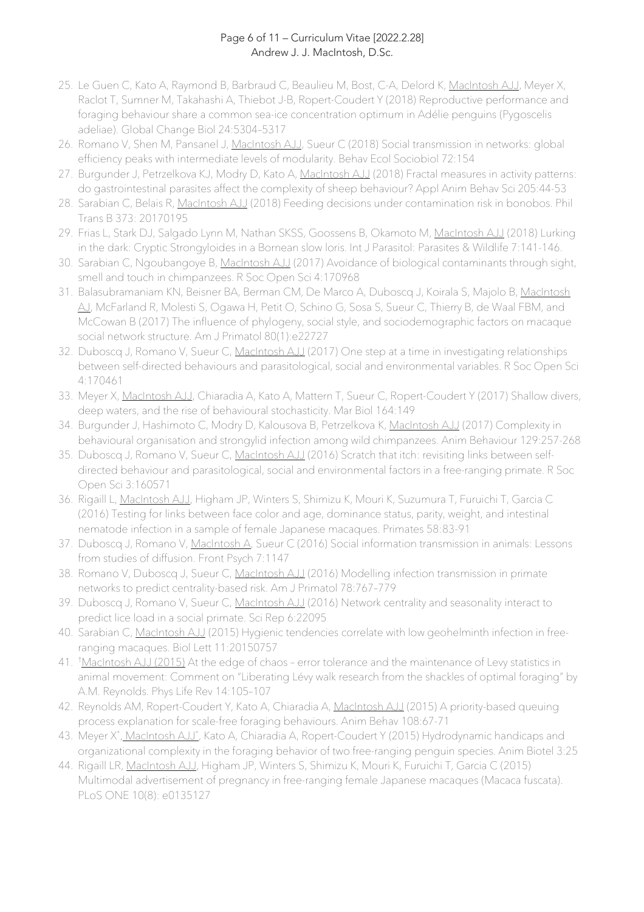#### Page 6 of 11 – Curriculum Vitae [2022.2.28] Andrew J. J. MacIntosh, D.Sc.

- 25. Le Guen C, Kato A, Raymond B, Barbraud C, Beaulieu M, Bost, C-A, Delord K, MacIntosh AJJ, Meyer X, Raclot T, Sumner M, Takahashi A, Thiebot J-B, Ropert-Coudert Y (2018) Reproductive performance and foraging behaviour share a common sea-ice concentration optimum in Adélie penguins (Pygoscelis adeliae). Global Change Biol 24:5304–5317
- 26. Romano V, Shen M, Pansanel J, MacIntosh AJJ, Sueur C (2018) Social transmission in networks: global efficiency peaks with intermediate levels of modularity. Behav Ecol Sociobiol 72:154
- 27. Burgunder J, Petrzelkova KJ, Modry D, Kato A, MacIntosh AJJ (2018) Fractal measures in activity patterns: do gastrointestinal parasites affect the complexity of sheep behaviour? Appl Anim Behav Sci 205:44-53
- 28. Sarabian C, Belais R, MacIntosh AJJ (2018) Feeding decisions under contamination risk in bonobos. Phil Trans B 373: 20170195
- 29. Frias L, Stark DJ, Salgado Lynn M, Nathan SKSS, Goossens B, Okamoto M, MacIntosh AJJ (2018) Lurking in the dark: Cryptic Strongyloides in a Bornean slow loris. Int J Parasitol: Parasites & Wildlife 7:141-146.
- 30. Sarabian C, Ngoubangoye B, MacIntosh AJJ (2017) Avoidance of biological contaminants through sight, smell and touch in chimpanzees. R Soc Open Sci 4:170968
- 31. Balasubramaniam KN, Beisner BA, Berman CM, De Marco A, Duboscq J, Koirala S, Majolo B, MacIntosh AJ, McFarland R, Molesti S, Ogawa H, Petit O, Schino G, Sosa S, Sueur C, Thierry B, de Waal FBM, and McCowan B (2017) The influence of phylogeny, social style, and sociodemographic factors on macaque social network structure. Am J Primatol 80(1):e22727
- 32. Duboscq J, Romano V, Sueur C, MacIntosh AJJ (2017) One step at a time in investigating relationships between self-directed behaviours and parasitological, social and environmental variables. R Soc Open Sci 4:170461
- 33. Meyer X, MacIntosh AJJ, Chiaradia A, Kato A, Mattern T, Sueur C, Ropert-Coudert Y (2017) Shallow divers, deep waters, and the rise of behavioural stochasticity. Mar Biol 164:149
- 34. Burgunder J, Hashimoto C, Modry D, Kalousova B, Petrzelkova K, MacIntosh AJJ (2017) Complexity in behavioural organisation and strongylid infection among wild chimpanzees. Anim Behaviour 129:257-268
- 35. Duboscq J, Romano V, Sueur C, MacIntosh AJJ (2016) Scratch that itch: revisiting links between selfdirected behaviour and parasitological, social and environmental factors in a free-ranging primate. R Soc Open Sci 3:160571
- 36. Rigaill L, MacIntosh AJJ, Higham JP, Winters S, Shimizu K, Mouri K, Suzumura T, Furuichi T, Garcia C (2016) Testing for links between face color and age, dominance status, parity, weight, and intestinal nematode infection in a sample of female Japanese macaques. Primates 58:83-91
- 37. Duboscq J, Romano V, MacIntosh A, Sueur C (2016) Social information transmission in animals: Lessons from studies of diffusion. Front Psych 7:1147
- 38. Romano V, Duboscq J, Sueur C, MacIntosh AJJ (2016) Modelling infection transmission in primate networks to predict centrality-based risk. Am J Primatol 78:767–779
- 39. Duboscq J, Romano V, Sueur C, MacIntosh AJJ (2016) Network centrality and seasonality interact to predict lice load in a social primate. Sci Rep 6:22095
- 40. Sarabian C, MacIntosh AJJ (2015) Hygienic tendencies correlate with low geohelminth infection in freeranging macaques. Biol Lett 11:20150757
- 41. <sup>†</sup>MacIntosh AJJ (2015) At the edge of chaos error tolerance and the maintenance of Levy statistics in animal movement: Comment on "Liberating Lévy walk research from the shackles of optimal foraging" by A.M. Reynolds. Phys Life Rev 14:105–107
- 42. Reynolds AM, Ropert-Coudert Y, Kato A, Chiaradia A, MacIntosh AJJ (2015) A priority-based queuing process explanation for scale-free foraging behaviours. Anim Behav 108:67-71
- 43. Meyer X\*<u>, MacIntosh AJJ\*,</u> Kato A, Chiaradia A, Ropert-Coudert Y (2015) Hydrodynamic handicaps and organizational complexity in the foraging behavior of two free-ranging penguin species. Anim Biotel 3:25
- 44. Rigaill LR, MacIntosh AJJ, Higham JP, Winters S, Shimizu K, Mouri K, Furuichi T, Garcia C (2015) Multimodal advertisement of pregnancy in free-ranging female Japanese macaques (Macaca fuscata). PLoS ONE 10(8): e0135127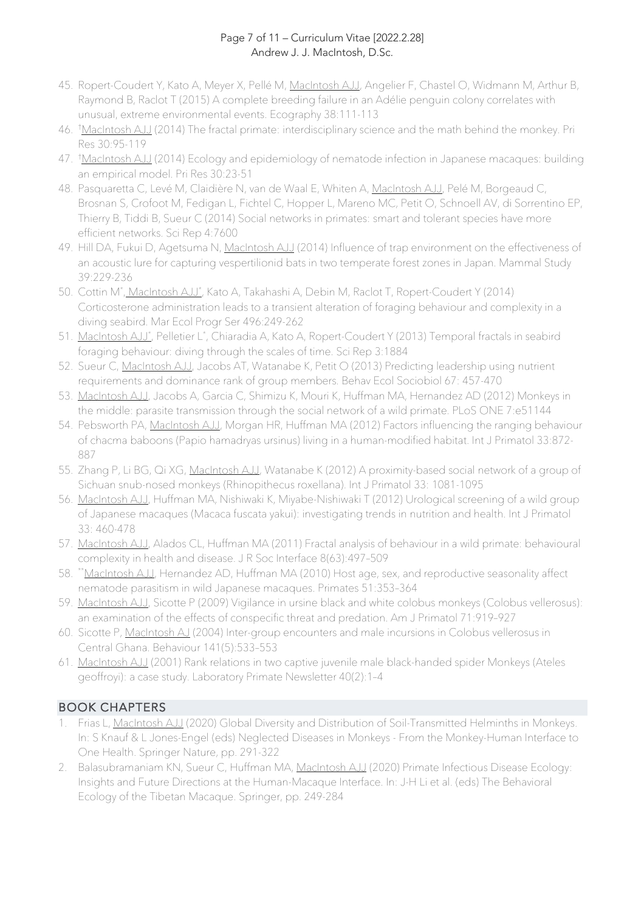#### Page 7 of 11 – Curriculum Vitae [2022.2.28] Andrew J. J. MacIntosh, D.Sc.

- 45. Ropert-Coudert Y, Kato A, Meyer X, Pellé M, MacIntosh AJJ, Angelier F, Chastel O, Widmann M, Arthur B, Raymond B, Raclot T (2015) A complete breeding failure in an Adélie penguin colony correlates with unusual, extreme environmental events. Ecography 38:111-113
- 46. †<u>MacIntosh AJJ</u> (2014) The fractal primate: interdisciplinary science and the math behind the monkey. Pri Res 30:95-119
- 47. † MacIntosh AJJ (2014) Ecology and epidemiology of nematode infection in Japanese macaques: building an empirical model. Pri Res 30:23-51
- 48. Pasquaretta C, Levé M, Claidière N, van de Waal E, Whiten A, MacIntosh AJJ, Pelé M, Borgeaud C, Brosnan S, Crofoot M, Fedigan L, Fichtel C, Hopper L, Mareno MC, Petit O, Schnoell AV, di Sorrentino EP, Thierry B, Tiddi B, Sueur C (2014) Social networks in primates: smart and tolerant species have more efficient networks. Sci Rep 4:7600
- 49. Hill DA, Fukui D, Agetsuma N, MacIntosh AJJ (2014) Influence of trap environment on the effectiveness of an acoustic lure for capturing vespertilionid bats in two temperate forest zones in Japan. Mammal Study 39:229-236
- 50. Cottin M<sup>\*</sup>, MacIntosh AJJ<sup>\*</sup>, Kato A, Takahashi A, Debin M, Raclot T, Ropert-Coudert Y (2014) Corticosterone administration leads to a transient alteration of foraging behaviour and complexity in a diving seabird. Mar Ecol Progr Ser 496:249-262
- 51. MacIntosh AJJ\*, Pelletier L\*, Chiaradia A, Kato A, Ropert-Coudert Y (2013) Temporal fractals in seabird foraging behaviour: diving through the scales of time. Sci Rep 3:1884
- 52. Sueur C, MacIntosh AJJ, Jacobs AT, Watanabe K, Petit O (2013) Predicting leadership using nutrient requirements and dominance rank of group members. Behav Ecol Sociobiol 67: 457-470
- 53. MacIntosh AJJ, Jacobs A, Garcia C, Shimizu K, Mouri K, Huffman MA, Hernandez AD (2012) Monkeys in the middle: parasite transmission through the social network of a wild primate. PLoS ONE 7:e51144
- 54. Pebsworth PA, MacIntosh AJJ, Morgan HR, Huffman MA (2012) Factors influencing the ranging behaviour of chacma baboons (Papio hamadryas ursinus) living in a human-modified habitat. Int J Primatol 33:872- 887
- 55. Zhang P, Li BG, Qi XG, MacIntosh AJJ, Watanabe K (2012) A proximity-based social network of a group of Sichuan snub-nosed monkeys (Rhinopithecus roxellana). Int J Primatol 33: 1081-1095
- 56. MacIntosh AJJ, Huffman MA, Nishiwaki K, Miyabe-Nishiwaki T (2012) Urological screening of a wild group of Japanese macaques (Macaca fuscata yakui): investigating trends in nutrition and health. Int J Primatol 33: 460-478
- 57. MacIntosh AJJ, Alados CL, Huffman MA (2011) Fractal analysis of behaviour in a wild primate: behavioural complexity in health and disease. J R Soc Interface 8(63):497–509
- 58. \*\*MacIntosh AJJ, Hernandez AD, Huffman MA (2010) Host age, sex, and reproductive seasonality affect nematode parasitism in wild Japanese macaques. Primates 51:353–364
- 59. MacIntosh AJJ, Sicotte P (2009) Vigilance in ursine black and white colobus monkeys (Colobus vellerosus): an examination of the effects of conspecific threat and predation. Am J Primatol 71:919–927
- 60. Sicotte P, MacIntosh AJ (2004) Inter-group encounters and male incursions in Colobus vellerosus in Central Ghana. Behaviour 141(5):533–553
- 61. MacIntosh AJJ (2001) Rank relations in two captive juvenile male black-handed spider Monkeys (Ateles geoffroyi): a case study. Laboratory Primate Newsletter 40(2):1–4

### BOOK CHAPTERS

- Frias L, MacIntosh AJJ (2020) Global Diversity and Distribution of Soil-Transmitted Helminths in Monkeys. In: S Knauf & L Jones-Engel (eds) Neglected Diseases in Monkeys - From the Monkey-Human Interface to One Health. Springer Nature, pp. 291-322
- 2. Balasubramaniam KN, Sueur C, Huffman MA, MacIntosh AJJ (2020) Primate Infectious Disease Ecology: Insights and Future Directions at the Human-Macaque Interface. In: J-H Li et al. (eds) The Behavioral Ecology of the Tibetan Macaque. Springer, pp. 249-284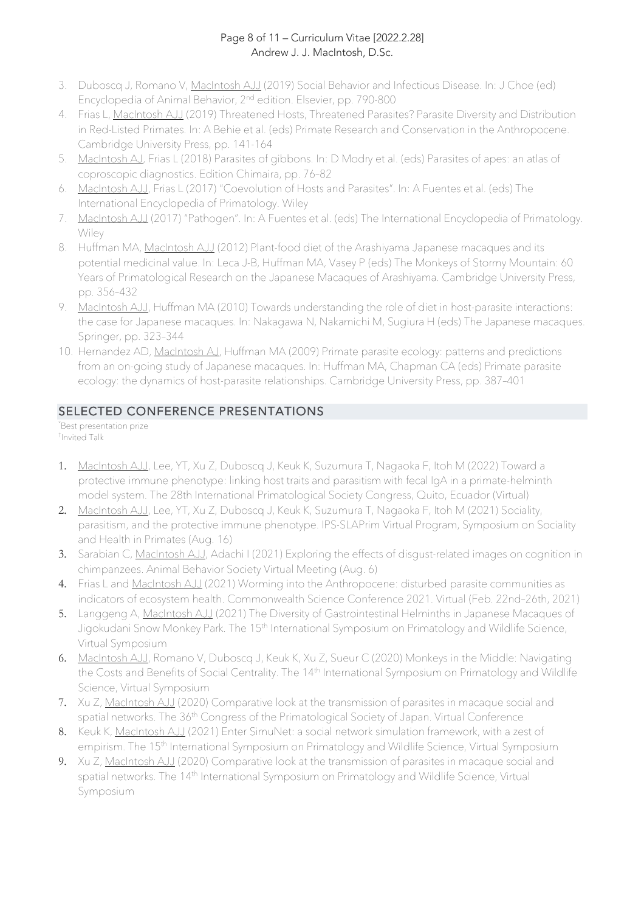#### Page 8 of 11 – Curriculum Vitae [2022.2.28] Andrew J. J. MacIntosh, D.Sc.

- 3. Duboscq J, Romano V, MacIntosh AJJ (2019) Social Behavior and Infectious Disease. In: J Choe (ed) Encyclopedia of Animal Behavior, 2nd edition. Elsevier, pp. 790-800
- 4. Frias L, MacIntosh AJJ (2019) Threatened Hosts, Threatened Parasites? Parasite Diversity and Distribution in Red-Listed Primates. In: A Behie et al. (eds) Primate Research and Conservation in the Anthropocene. Cambridge University Press, pp. 141-164
- 5. MacIntosh AJ, Frias L (2018) Parasites of gibbons. In: D Modry et al. (eds) Parasites of apes: an atlas of coproscopic diagnostics. Edition Chimaira, pp. 76–82
- 6. MacIntosh AJJ, Frias L (2017) "Coevolution of Hosts and Parasites". In: A Fuentes et al. (eds) The International Encyclopedia of Primatology. Wiley
- 7. MacIntosh AJJ (2017) "Pathogen". In: A Fuentes et al. (eds) The International Encyclopedia of Primatology. Wiley
- 8. Huffman MA, MacIntosh AJJ (2012) Plant-food diet of the Arashiyama Japanese macaques and its potential medicinal value. In: Leca J-B, Huffman MA, Vasey P (eds) The Monkeys of Stormy Mountain: 60 Years of Primatological Research on the Japanese Macaques of Arashiyama. Cambridge University Press, pp. 356–432
- 9. MacIntosh AJJ, Huffman MA (2010) Towards understanding the role of diet in host-parasite interactions: the case for Japanese macaques. In: Nakagawa N, Nakamichi M, Sugiura H (eds) The Japanese macaques. Springer, pp. 323–344
- 10. Hernandez AD, MacIntosh AJ, Huffman MA (2009) Primate parasite ecology: patterns and predictions from an on-going study of Japanese macaques. In: Huffman MA, Chapman CA (eds) Primate parasite ecology: the dynamics of host-parasite relationships. Cambridge University Press, pp. 387–401

## SELECTED CONFERENCE PRESENTATIONS

\* Best presentation prize † Invited Talk

- 1. MacIntosh AJJ, Lee, YT, Xu Z, Duboscq J, Keuk K, Suzumura T, Nagaoka F, Itoh M (2022) Toward a protective immune phenotype: linking host traits and parasitism with fecal IgA in a primate-helminth model system. The 28th International Primatological Society Congress, Quito, Ecuador (Virtual)
- 2. MacIntosh AJJ, Lee, YT, Xu Z, Duboscq J, Keuk K, Suzumura T, Nagaoka F, Itoh M (2021) Sociality, parasitism, and the protective immune phenotype. IPS-SLAPrim Virtual Program, Symposium on Sociality and Health in Primates (Aug. 16)
- 3. Sarabian C, MacIntosh AJJ, Adachi I (2021) Exploring the effects of disgust-related images on cognition in chimpanzees. Animal Behavior Society Virtual Meeting (Aug. 6)
- 4. Frias L and MacIntosh AJJ (2021) Worming into the Anthropocene: disturbed parasite communities as indicators of ecosystem health. Commonwealth Science Conference 2021. Virtual (Feb. 22nd–26th, 2021)
- 5. Langgeng A, MacIntosh AJJ (2021) The Diversity of Gastrointestinal Helminths in Japanese Macaques of Jigokudani Snow Monkey Park. The 15<sup>th</sup> International Symposium on Primatology and Wildlife Science, Virtual Symposium
- 6. MacIntosh AJJ, Romano V, Duboscq J, Keuk K, Xu Z, Sueur C (2020) Monkeys in the Middle: Navigating the Costs and Benefits of Social Centrality. The 14<sup>th</sup> International Symposium on Primatology and Wildlife Science, Virtual Symposium
- 7. Xu Z, MacIntosh AJJ (2020) Comparative look at the transmission of parasites in macaque social and spatial networks. The 36<sup>th</sup> Congress of the Primatological Society of Japan. Virtual Conference
- 8. Keuk K, MacIntosh AJJ (2021) Enter SimuNet: a social network simulation framework, with a zest of empirism. The 15<sup>th</sup> International Symposium on Primatology and Wildlife Science, Virtual Symposium
- 9. Xu Z, MacIntosh AJJ (2020) Comparative look at the transmission of parasites in macaque social and spatial networks. The 14<sup>th</sup> International Symposium on Primatology and Wildlife Science, Virtual Symposium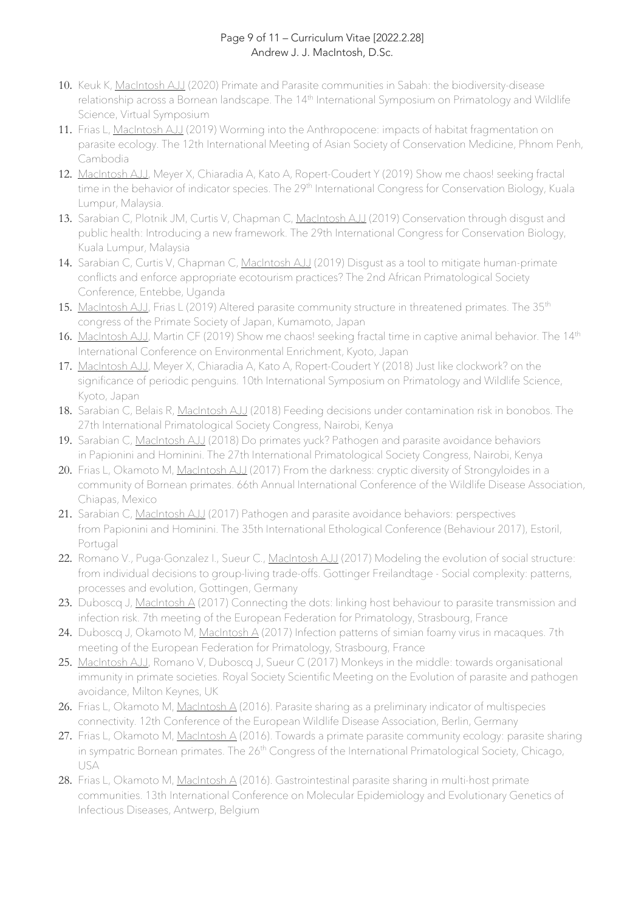#### Page 9 of 11 – Curriculum Vitae [2022.2.28] Andrew J. J. MacIntosh, D.Sc.

- 10. Keuk K, MacIntosh AJJ (2020) Primate and Parasite communities in Sabah: the biodiversity-disease relationship across a Bornean landscape. The 14<sup>th</sup> International Symposium on Primatology and Wildlife Science, Virtual Symposium
- 11. Frias L, MacIntosh AJJ (2019) Worming into the Anthropocene: impacts of habitat fragmentation on parasite ecology. The 12th International Meeting of Asian Society of Conservation Medicine, Phnom Penh, Cambodia
- 12. MacIntosh AJJ, Meyer X, Chiaradia A, Kato A, Ropert-Coudert Y (2019) Show me chaos! seeking fractal time in the behavior of indicator species. The 29<sup>th</sup> International Congress for Conservation Biology, Kuala Lumpur, Malaysia.
- 13. Sarabian C, Plotnik JM, Curtis V, Chapman C, MacIntosh AJJ (2019) Conservation through disgust and public health: Introducing a new framework. The 29th International Congress for Conservation Biology, Kuala Lumpur, Malaysia
- 14. Sarabian C, Curtis V, Chapman C, MacIntosh AJJ (2019) Disqust as a tool to mitigate human-primate conflicts and enforce appropriate ecotourism practices? The 2nd African Primatological Society Conference, Entebbe, Uganda
- 15. MacIntosh AJJ, Frias L (2019) Altered parasite community structure in threatened primates. The 35<sup>th</sup> congress of the Primate Society of Japan, Kumamoto, Japan
- 16. MacIntosh AJJ, Martin CF (2019) Show me chaos! seeking fractal time in captive animal behavior. The 14<sup>th</sup> International Conference on Environmental Enrichment, Kyoto, Japan
- 17. MacIntosh AJJ, Meyer X, Chiaradia A, Kato A, Ropert-Coudert Y (2018) Just like clockwork? on the significance of periodic penguins. 10th International Symposium on Primatology and Wildlife Science, Kyoto, Japan
- 18. Sarabian C, Belais R, MacIntosh AJJ (2018) Feeding decisions under contamination risk in bonobos. The 27th International Primatological Society Congress, Nairobi, Kenya
- 19. Sarabian C, MacIntosh AJJ (2018) Do primates yuck? Pathogen and parasite avoidance behaviors in Papionini and Hominini. The 27th International Primatological Society Congress, Nairobi, Kenya
- 20. Frias L, Okamoto M, MacIntosh AJJ (2017) From the darkness: cryptic diversity of Strongyloides in a community of Bornean primates. 66th Annual International Conference of the Wildlife Disease Association, Chiapas, Mexico
- 21. Sarabian C, MacIntosh AJJ (2017) Pathogen and parasite avoidance behaviors: perspectives from Papionini and Hominini. The 35th International Ethological Conference (Behaviour 2017), Estoril, Portugal
- 22. Romano V., Puga-Gonzalez I., Sueur C., MacIntosh AJJ (2017) Modeling the evolution of social structure: from individual decisions to group-living trade-offs. Gottinger Freilandtage - Social complexity: patterns, processes and evolution, Gottingen, Germany
- 23. Duboscq J, MacIntosh A (2017) Connecting the dots: linking host behaviour to parasite transmission and infection risk. 7th meeting of the European Federation for Primatology, Strasbourg, France
- 24. Duboscq J, Okamoto M, MacIntosh A (2017) Infection patterns of simian foamy virus in macaques. 7th meeting of the European Federation for Primatology, Strasbourg, France
- 25. MacIntosh AJJ, Romano V, Duboscq J, Sueur C (2017) Monkeys in the middle: towards organisational immunity in primate societies. Royal Society Scientific Meeting on the Evolution of parasite and pathogen avoidance, Milton Keynes, UK
- 26. Frias L, Okamoto M, MacIntosh A (2016). Parasite sharing as a preliminary indicator of multispecies connectivity. 12th Conference of the European Wildlife Disease Association, Berlin, Germany
- 27. Frias L, Okamoto M, MacIntosh A (2016). Towards a primate parasite community ecology: parasite sharing in sympatric Bornean primates. The 26<sup>th</sup> Congress of the International Primatological Society, Chicago, USA
- 28. Frias L, Okamoto M, MacIntosh A (2016). Gastrointestinal parasite sharing in multi-host primate communities. 13th International Conference on Molecular Epidemiology and Evolutionary Genetics of Infectious Diseases, Antwerp, Belgium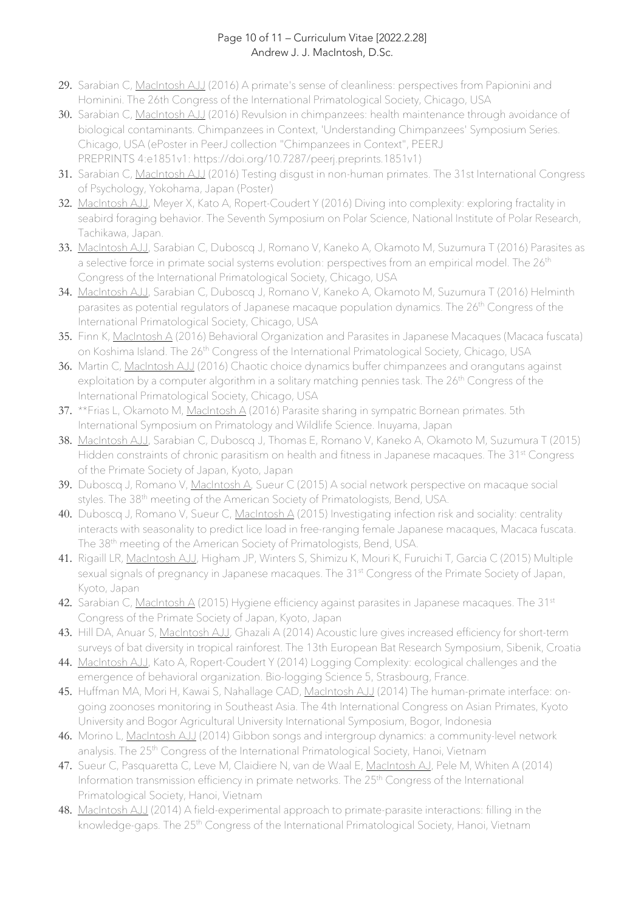#### Page 10 of 11 – Curriculum Vitae [2022.2.28] Andrew J. J. MacIntosh, D.Sc.

- 29. Sarabian C, MacIntosh AJJ (2016) A primate's sense of cleanliness: perspectives from Papionini and Hominini. The 26th Congress of the International Primatological Society, Chicago, USA
- 30. Sarabian C, MacIntosh AJJ (2016) Revulsion in chimpanzees: health maintenance through avoidance of biological contaminants. Chimpanzees in Context, 'Understanding Chimpanzees' Symposium Series. Chicago, USA (ePoster in PeerJ collection "Chimpanzees in Context", PEERJ PREPRINTS 4:e1851v1: https://doi.org/10.7287/peerj.preprints.1851v1)
- 31. Sarabian C, MacIntosh AJJ (2016) Testing disgust in non-human primates. The 31st International Congress of Psychology, Yokohama, Japan (Poster)
- 32. MacIntosh AJJ, Meyer X, Kato A, Ropert-Coudert Y (2016) Diving into complexity: exploring fractality in seabird foraging behavior. The Seventh Symposium on Polar Science, National Institute of Polar Research, Tachikawa, Japan.
- 33. MacIntosh AJJ, Sarabian C, Duboscq J, Romano V, Kaneko A, Okamoto M, Suzumura T (2016) Parasites as a selective force in primate social systems evolution: perspectives from an empirical model. The 26<sup>th</sup> Congress of the International Primatological Society, Chicago, USA
- 34. MacIntosh AJJ, Sarabian C, Duboscq J, Romano V, Kaneko A, Okamoto M, Suzumura T (2016) Helminth parasites as potential regulators of Japanese macaque population dynamics. The 26<sup>th</sup> Congress of the International Primatological Society, Chicago, USA
- 35. Finn K, MacIntosh A (2016) Behavioral Organization and Parasites in Japanese Macaques (Macaca fuscata) on Koshima Island. The 26<sup>th</sup> Congress of the International Primatological Society, Chicago, USA
- 36. Martin C, MacIntosh AJJ (2016) Chaotic choice dynamics buffer chimpanzees and orangutans against exploitation by a computer algorithm in a solitary matching pennies task. The 26<sup>th</sup> Congress of the International Primatological Society, Chicago, USA
- 37. \*\*Frias L, Okamoto M, MacIntosh A (2016) Parasite sharing in sympatric Bornean primates. 5th International Symposium on Primatology and Wildlife Science. Inuyama, Japan
- 38. MacIntosh AJJ, Sarabian C, Duboscq J, Thomas E, Romano V, Kaneko A, Okamoto M, Suzumura T (2015) Hidden constraints of chronic parasitism on health and fitness in Japanese macaques. The 31<sup>st</sup> Congress of the Primate Society of Japan, Kyoto, Japan
- 39. Duboscq J, Romano V, MacIntosh A, Sueur C (2015) A social network perspective on macaque social styles. The 38<sup>th</sup> meeting of the American Society of Primatologists, Bend, USA.
- 40. Duboscq J, Romano V, Sueur C, MacIntosh A (2015) Investigating infection risk and sociality: centrality interacts with seasonality to predict lice load in free-ranging female Japanese macaques, Macaca fuscata. The 38<sup>th</sup> meeting of the American Society of Primatologists, Bend, USA.
- 41. Rigaill LR, MacIntosh AJJ, Higham JP, Winters S, Shimizu K, Mouri K, Furuichi T, Garcia C (2015) Multiple sexual signals of pregnancy in Japanese macaques. The 31<sup>st</sup> Congress of the Primate Society of Japan, Kyoto, Japan
- 42. Sarabian C, MacIntosh A (2015) Hygiene efficiency against parasites in Japanese macaques. The 31<sup>st</sup> Congress of the Primate Society of Japan, Kyoto, Japan
- 43. Hill DA, Anuar S, MacIntosh AJJ, Ghazali A (2014) Acoustic lure gives increased efficiency for short-term surveys of bat diversity in tropical rainforest. The 13th European Bat Research Symposium, Sibenik, Croatia
- 44. MacIntosh AJJ, Kato A, Ropert-Coudert Y (2014) Logging Complexity: ecological challenges and the emergence of behavioral organization. Bio-logging Science 5, Strasbourg, France.
- 45. Huffman MA, Mori H, Kawai S, Nahallage CAD, MacIntosh AJJ (2014) The human-primate interface: ongoing zoonoses monitoring in Southeast Asia. The 4th International Congress on Asian Primates, Kyoto University and Bogor Agricultural University International Symposium, Bogor, Indonesia
- 46. Morino L, MacIntosh AJJ (2014) Gibbon songs and intergroup dynamics: a community-level network analysis. The 25<sup>th</sup> Congress of the International Primatological Society, Hanoi, Vietnam
- 47. Sueur C, Pasquaretta C, Leve M, Claidiere N, van de Waal E, MacIntosh AJ, Pele M, Whiten A (2014) Information transmission efficiency in primate networks. The 25<sup>th</sup> Congress of the International Primatological Society, Hanoi, Vietnam
- 48. MacIntosh AJJ (2014) A field-experimental approach to primate-parasite interactions: filling in the knowledge-gaps. The 25<sup>th</sup> Congress of the International Primatological Society, Hanoi, Vietnam